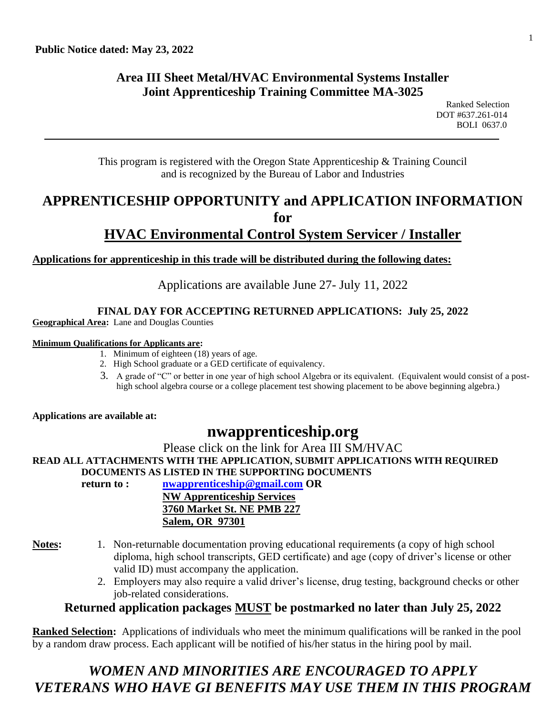#### **Area III Sheet Metal/HVAC Environmental Systems Installer Joint Apprenticeship Training Committee MA-3025**

This program is registered with the Oregon State Apprenticeship & Training Council and is recognized by the Bureau of Labor and Industries

### **APPRENTICESHIP OPPORTUNITY and APPLICATION INFORMATION for HVAC Environmental Control System Servicer / Installer**

**Applications for apprenticeship in this trade will be distributed during the following dates:**

Applications are available June 27- July 11, 2022

#### **FINAL DAY FOR ACCEPTING RETURNED APPLICATIONS: July 25, 2022**

**Geographical Area:** Lane and Douglas Counties

#### **Minimum Qualifications for Applicants are:**

- 1. Minimum of eighteen (18) years of age.
- 2. High School graduate or a GED certificate of equivalency.
- 3. A grade of "C" or better in one year of high school Algebra or its equivalent. (Equivalent would consist of a posthigh school algebra course or a college placement test showing placement to be above beginning algebra.)

**Applications are available at:**

## **nwapprenticeship.org**

Please click on the link for Area III SM/HVAC

**READ ALL ATTACHMENTS WITH THE APPLICATION, SUBMIT APPLICATIONS WITH REQUIRED DOCUMENTS AS LISTED IN THE SUPPORTING DOCUMENTS**

**return to : [nwapprenticeship@gmail.com](mailto:nwapprenticeship@gmail.com) OR**

**NW Apprenticeship Services 3760 Market St. NE PMB 227 Salem, OR 97301**

- **Notes:** 1. Non-returnable documentation proving educational requirements (a copy of high school diploma, high school transcripts, GED certificate) and age (copy of driver's license or other valid ID) must accompany the application.
	- 2. Employers may also require a valid driver's license, drug testing, background checks or other job-related considerations.

#### **Returned application packages MUST be postmarked no later than July 25, 2022**

**Ranked Selection:** Applications of individuals who meet the minimum qualifications will be ranked in the pool by a random draw process. Each applicant will be notified of his/her status in the hiring pool by mail.

# *WOMEN AND MINORITIES ARE ENCOURAGED TO APPLY VETERANS WHO HAVE GI BENEFITS MAY USE THEM IN THIS PROGRAM*